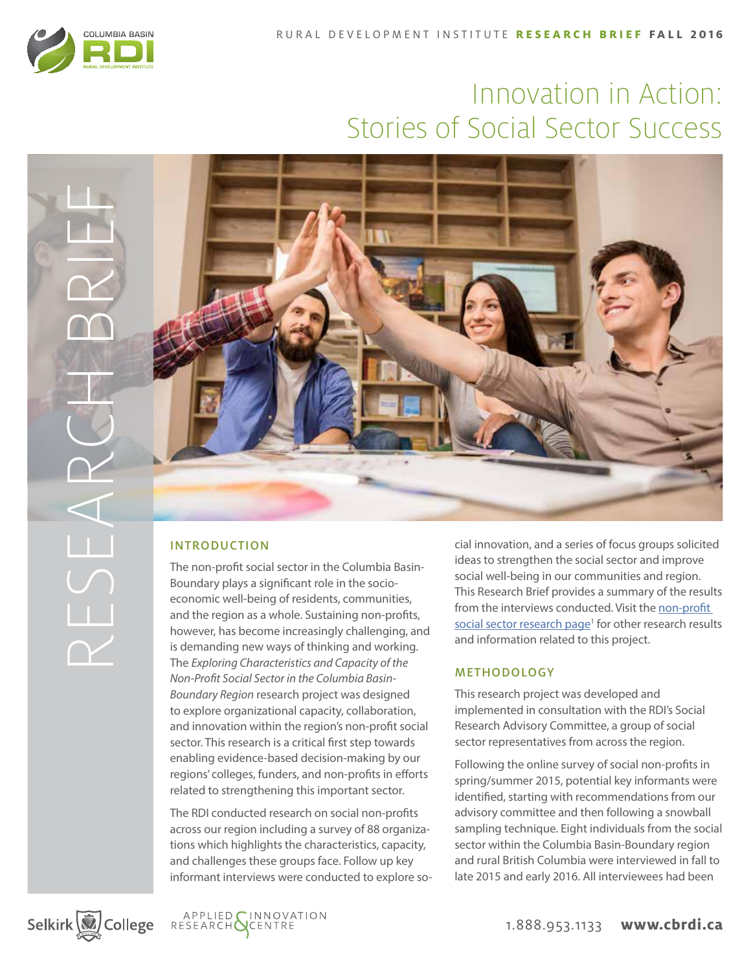

RESEARCH BRIEF

# Innovation in Action: Stories of Social Sector Success



# INTRODUCTION

The non-profit social sector in the Columbia Basin-Boundary plays a significant role in the socioeconomic well-being of residents, communities, and the region as a whole. Sustaining non-profits, however, has become increasingly challenging, and is demanding new ways of thinking and working. The *Exploring Characteristics and Capacity of the Non-Profit Social Sector in the Columbia Basin-Boundary Region* research project was designed to explore organizational capacity, collaboration, and innovation within the region's non-profit social sector. This research is a critical first step towards enabling evidence-based decision-making by our regions' colleges, funders, and non-profits in efforts related to strengthening this important sector.

The RDI conducted research on social non-profits across our region including a survey of 88 organizations which highlights the characteristics, capacity, and challenges these groups face. Follow up key informant interviews were conducted to explore social innovation, and a series of focus groups solicited ideas to strengthen the social sector and improve social well-being in our communities and region. This Research Brief provides a summary of the results from the interviews conducted. Visit the non-profit social sector research page<sup>1</sup> for other research results and information related to this project.

## METHODOLOGY

This research project was developed and implemented in consultation with the RDI's Social Research Advisory Committee, a group of social sector representatives from across the region.

Following the online survey of social non-profits in spring/summer 2015, potential key informants were identified, starting with recommendations from our advisory committee and then following a snowball sampling technique. Eight individuals from the social sector within the Columbia Basin-Boundary region and rural British Columbia were interviewed in fall to late 2015 and early 2016. All interviewees had been

Selkirk (V) College



1.888.953.1133 **www.cbrdi.ca**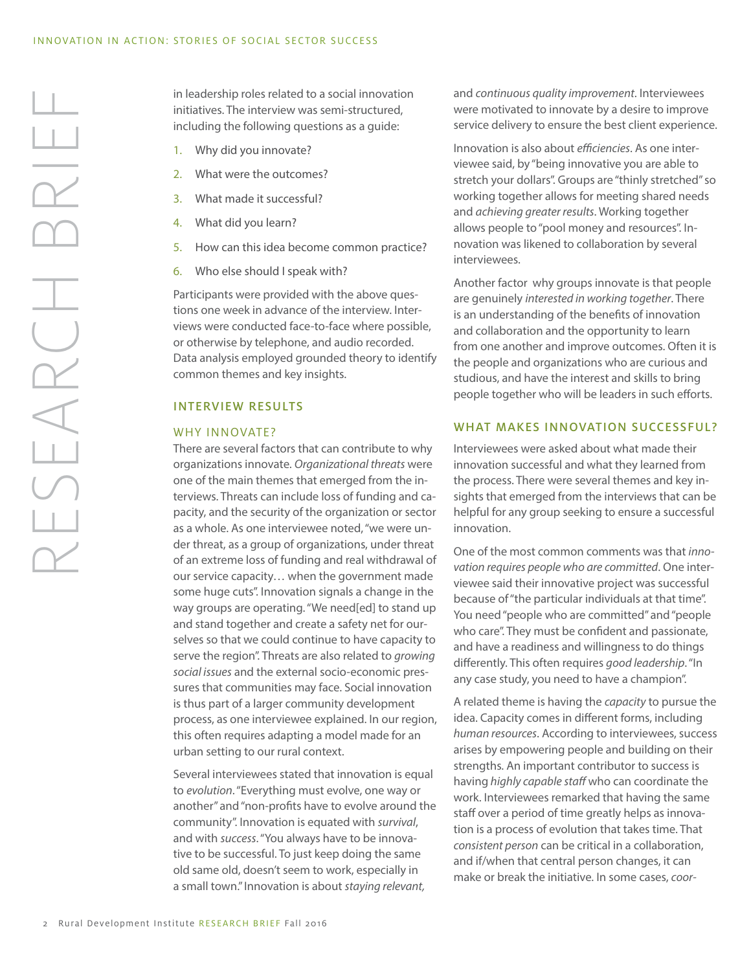in leadership roles related to a social innovation initiatives. The interview was semi-structured, including the following questions as a guide:

- 1. Why did you innovate?
- 2. What were the outcomes?
- 3. What made it successful?
- 4. What did you learn?
- 5. How can this idea become common practice?
- 6. Who else should I speak with?

Participants were provided with the above questions one week in advance of the interview. Interviews were conducted face-to-face where possible, or otherwise by telephone, and audio recorded. Data analysis employed grounded theory to identify common themes and key insights.

## INTERVIEW RESULTS

#### WHY INNOVATE?

There are several factors that can contribute to why organizations innovate. *Organizational threats* were one of the main themes that emerged from the interviews. Threats can include loss of funding and capacity, and the security of the organization or sector as a whole. As one interviewee noted, "we were under threat, as a group of organizations, under threat of an extreme loss of funding and real withdrawal of our service capacity… when the government made some huge cuts". Innovation signals a change in the way groups are operating. "We need[ed] to stand up and stand together and create a safety net for ourselves so that we could continue to have capacity to serve the region". Threats are also related to *growing social issues* and the external socio-economic pressures that communities may face. Social innovation is thus part of a larger community development process, as one interviewee explained. In our region, this often requires adapting a model made for an urban setting to our rural context.

Several interviewees stated that innovation is equal to *evolution*. "Everything must evolve, one way or another" and "non-profits have to evolve around the community". Innovation is equated with *survival*, and with *success*. "You always have to be innovative to be successful. To just keep doing the same old same old, doesn't seem to work, especially in a small town." Innovation is about *staying relevant,* 

and *continuous quality improvement*. Interviewees were motivated to innovate by a desire to improve service delivery to ensure the best client experience.

Innovation is also about *efficiencies*. As one interviewee said, by "being innovative you are able to stretch your dollars". Groups are "thinly stretched" so working together allows for meeting shared needs and *achieving greater results*. Working together allows people to "pool money and resources". Innovation was likened to collaboration by several interviewees.

Another factor why groups innovate is that people are genuinely *interested in working together*. There is an understanding of the benefits of innovation and collaboration and the opportunity to learn from one another and improve outcomes. Often it is the people and organizations who are curious and studious, and have the interest and skills to bring people together who will be leaders in such efforts.

#### WHAT MAKES INNOVATION SUCCESSFUL?

Interviewees were asked about what made their innovation successful and what they learned from the process. There were several themes and key insights that emerged from the interviews that can be helpful for any group seeking to ensure a successful innovation.

One of the most common comments was that *innovation requires people who are committed*. One interviewee said their innovative project was successful because of "the particular individuals at that time". You need "people who are committed" and "people who care". They must be confident and passionate, and have a readiness and willingness to do things differently. This often requires *good leadership*. "In any case study, you need to have a champion".

A related theme is having the *capacity* to pursue the idea. Capacity comes in different forms, including *human resources*. According to interviewees, success arises by empowering people and building on their strengths. An important contributor to success is having *highly capable staff* who can coordinate the work. Interviewees remarked that having the same staff over a period of time greatly helps as innovation is a process of evolution that takes time. That *consistent person* can be critical in a collaboration, and if/when that central person changes, it can make or break the initiative. In some cases, *coor-*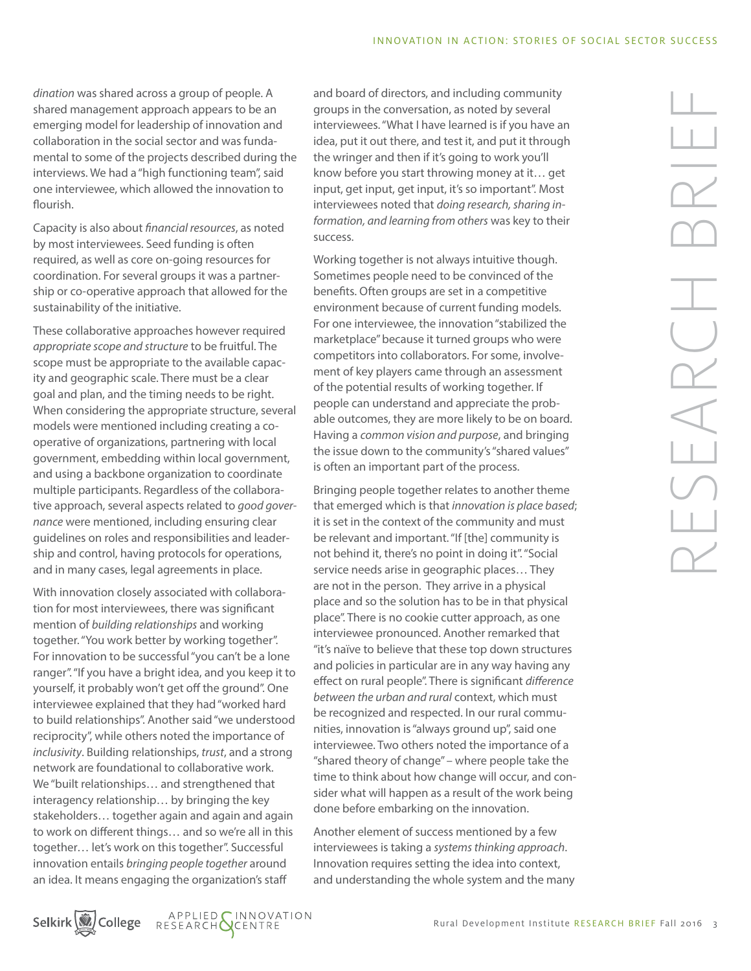*dination* was shared across a group of people. A shared management approach appears to be an emerging model for leadership of innovation and collaboration in the social sector and was fundamental to some of the projects described during the interviews. We had a "high functioning team", said one interviewee, which allowed the innovation to flourish.

Capacity is also about *financial resources*, as noted by most interviewees. Seed funding is often required, as well as core on-going resources for coordination. For several groups it was a partnership or co-operative approach that allowed for the sustainability of the initiative.

These collaborative approaches however required *appropriate scope and structure* to be fruitful. The scope must be appropriate to the available capacity and geographic scale. There must be a clear goal and plan, and the timing needs to be right. When considering the appropriate structure, several models were mentioned including creating a cooperative of organizations, partnering with local government, embedding within local government, and using a backbone organization to coordinate multiple participants. Regardless of the collaborative approach, several aspects related to *good governance* were mentioned, including ensuring clear guidelines on roles and responsibilities and leadership and control, having protocols for operations, and in many cases, legal agreements in place.

With innovation closely associated with collaboration for most interviewees, there was significant mention of *building relationships* and working together. "You work better by working together". For innovation to be successful "you can't be a lone ranger". "If you have a bright idea, and you keep it to yourself, it probably won't get off the ground". One interviewee explained that they had "worked hard to build relationships". Another said "we understood reciprocity", while others noted the importance of *inclusivity*. Building relationships, *trust*, and a strong network are foundational to collaborative work. We "built relationships… and strengthened that interagency relationship… by bringing the key stakeholders… together again and again and again to work on different things… and so we're all in this together… let's work on this together". Successful innovation entails *bringing people together* around an idea. It means engaging the organization's staff

and board of directors, and including community groups in the conversation, as noted by several interviewees. "What I have learned is if you have an idea, put it out there, and test it, and put it through the wringer and then if it's going to work you'll know before you start throwing money at it… get input, get input, get input, it's so important". Most interviewees noted that *doing research, sharing information, and learning from others* was key to their success.

Working together is not always intuitive though. Sometimes people need to be convinced of the benefits. Often groups are set in a competitive environment because of current funding models. For one interviewee, the innovation "stabilized the marketplace" because it turned groups who were competitors into collaborators. For some, involvement of key players came through an assessment of the potential results of working together. If people can understand and appreciate the probable outcomes, they are more likely to be on board. Having a *common vision and purpose*, and bringing the issue down to the community's "shared values" is often an important part of the process.

Bringing people together relates to another theme that emerged which is that *innovation is place based*; it is set in the context of the community and must be relevant and important. "If [the] community is not behind it, there's no point in doing it". "Social service needs arise in geographic places… They are not in the person. They arrive in a physical place and so the solution has to be in that physical place". There is no cookie cutter approach, as one interviewee pronounced. Another remarked that "it's naïve to believe that these top down structures and policies in particular are in any way having any effect on rural people". There is significant *difference between the urban and rural* context, which must be recognized and respected. In our rural communities, innovation is "always ground up", said one interviewee. Two others noted the importance of a "shared theory of change" – where people take the time to think about how change will occur, and consider what will happen as a result of the work being done before embarking on the innovation.

Another element of success mentioned by a few interviewees is taking a *systems thinking approach*. Innovation requires setting the idea into context, and understanding the whole system and the many

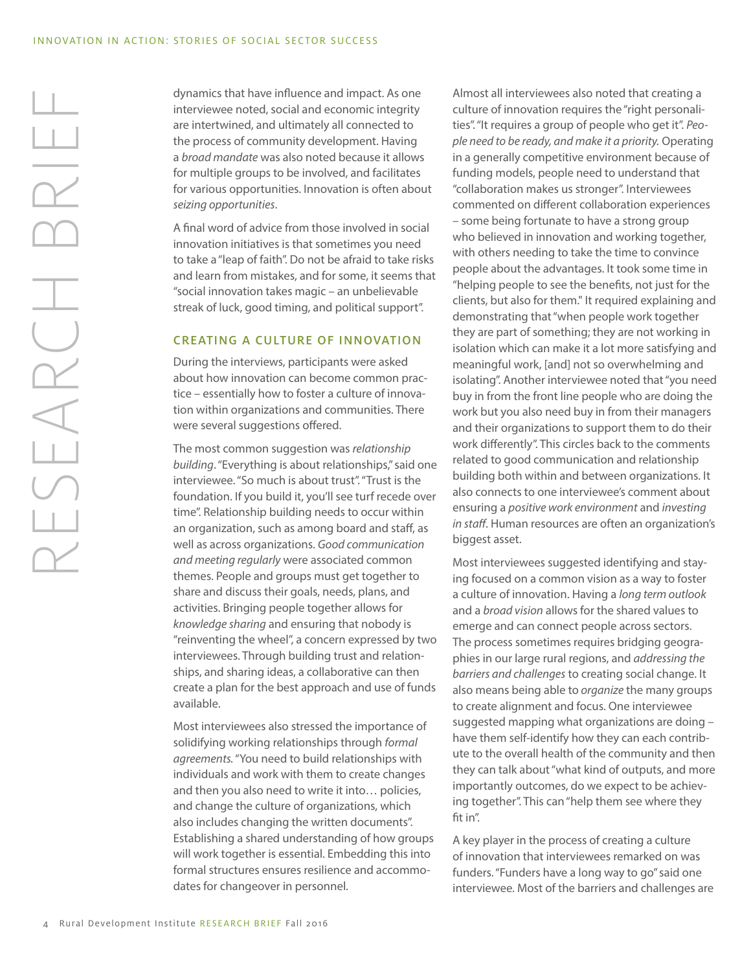dynamics that have influence and impact. As one interviewee noted, social and economic integrity are intertwined, and ultimately all connected to the process of community development. Having a *broad mandate* was also noted because it allows for multiple groups to be involved, and facilitates for various opportunities. Innovation is often about *seizing opportunities*.

A final word of advice from those involved in social innovation initiatives is that sometimes you need to take a "leap of faith". Do not be afraid to take risks and learn from mistakes, and for some, it seems that "social innovation takes magic – an unbelievable streak of luck, good timing, and political support".

#### CREATING A CULTURE OF INNOVATION

During the interviews, participants were asked about how innovation can become common practice – essentially how to foster a culture of innovation within organizations and communities. There were several suggestions offered.

The most common suggestion was *relationship building*. "Everything is about relationships," said one interviewee. "So much is about trust". "Trust is the foundation. If you build it, you'll see turf recede over time". Relationship building needs to occur within an organization, such as among board and staff, as well as across organizations. *Good communication and meeting regularly* were associated common themes. People and groups must get together to share and discuss their goals, needs, plans, and activities. Bringing people together allows for *knowledge sharing* and ensuring that nobody is "reinventing the wheel", a concern expressed by two interviewees. Through building trust and relationships, and sharing ideas, a collaborative can then create a plan for the best approach and use of funds available.

Most interviewees also stressed the importance of solidifying working relationships through *formal agreements.* "You need to build relationships with individuals and work with them to create changes and then you also need to write it into… policies, and change the culture of organizations, which also includes changing the written documents". Establishing a shared understanding of how groups will work together is essential. Embedding this into formal structures ensures resilience and accommodates for changeover in personnel.

Almost all interviewees also noted that creating a culture of innovation requires the "right personalities". "It requires a group of people who get it". *People need to be ready, and make it a priority.* Operating in a generally competitive environment because of funding models, people need to understand that "collaboration makes us stronger". Interviewees commented on different collaboration experiences

– some being fortunate to have a strong group who believed in innovation and working together, with others needing to take the time to convince people about the advantages. It took some time in "helping people to see the benefits, not just for the clients, but also for them." It required explaining and demonstrating that "when people work together they are part of something; they are not working in isolation which can make it a lot more satisfying and meaningful work, [and] not so overwhelming and isolating". Another interviewee noted that "you need buy in from the front line people who are doing the work but you also need buy in from their managers and their organizations to support them to do their work differently". This circles back to the comments related to good communication and relationship building both within and between organizations. It also connects to one interviewee's comment about ensuring a *positive work environment* and *investing in staff*. Human resources are often an organization's biggest asset.

Most interviewees suggested identifying and staying focused on a common vision as a way to foster a culture of innovation. Having a *long term outlook* and a *broad vision* allows for the shared values to emerge and can connect people across sectors. The process sometimes requires bridging geographies in our large rural regions, and *addressing the barriers and challenges* to creating social change. It also means being able to *organize* the many groups to create alignment and focus. One interviewee suggested mapping what organizations are doing – have them self-identify how they can each contribute to the overall health of the community and then they can talk about "what kind of outputs, and more importantly outcomes, do we expect to be achieving together". This can "help them see where they fit in".

A key player in the process of creating a culture of innovation that interviewees remarked on was funders. "Funders have a long way to go" said one interviewee. Most of the barriers and challenges are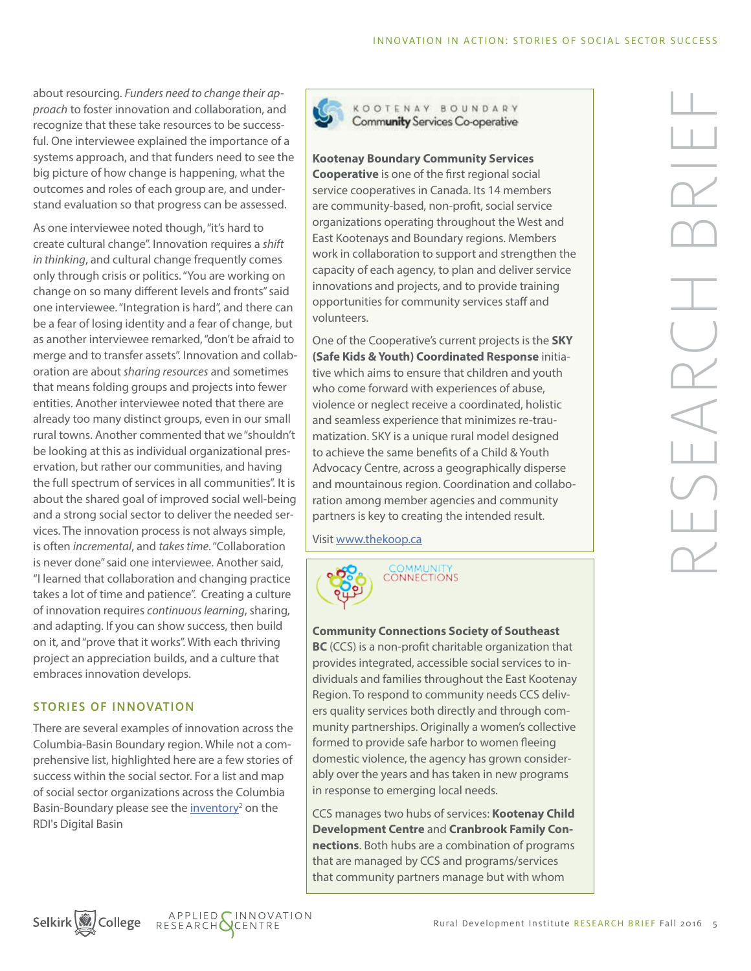about resourcing. *Funders need to change their approach* to foster innovation and collaboration, and recognize that these take resources to be successful. One interviewee explained the importance of a systems approach, and that funders need to see the big picture of how change is happening, what the outcomes and roles of each group are, and understand evaluation so that progress can be assessed.

As one interviewee noted though, "it's hard to create cultural change". Innovation requires a *shift in thinking*, and cultural change frequently comes only through crisis or politics. "You are working on change on so many different levels and fronts" said one interviewee. "Integration is hard", and there can be a fear of losing identity and a fear of change, but as another interviewee remarked, "don't be afraid to merge and to transfer assets". Innovation and collaboration are about *sharing resources* and sometimes that means folding groups and projects into fewer entities. Another interviewee noted that there are already too many distinct groups, even in our small rural towns. Another commented that we "shouldn't be looking at this as individual organizational preservation, but rather our communities, and having the full spectrum of services in all communities". It is about the shared goal of improved social well-being and a strong social sector to deliver the needed services. The innovation process is not always simple, is often *incremental*, and *takes time*. "Collaboration is never done" said one interviewee. Another said, "I learned that collaboration and changing practice takes a lot of time and patience". Creating a culture of innovation requires *continuous learning*, sharing, and adapting. If you can show success, then build on it, and "prove that it works". With each thriving project an appreciation builds, and a culture that embraces innovation develops.

## STORIES OF INNOVATION

There are several examples of innovation across the Columbia-Basin Boundary region. While not a comprehensive list, highlighted here are a few stories of success within the social sector. For a list and map of social sector organizations across the Columbia Basin-Boundary please see the *inventory<sup>2</sup>* on the RDI's Digital Basin



KOOTENAY BOUNDARY Community Services Co-operative

#### **Kootenay Boundary Community Services**

**Cooperative** is one of the first regional social service cooperatives in Canada. Its 14 members are community-based, non-profit, social service organizations operating throughout the West and East Kootenays and Boundary regions. Members work in collaboration to support and strengthen the capacity of each agency, to plan and deliver service innovations and projects, and to provide training opportunities for community services staff and volunteers.

One of the Cooperative's current projects is the **SKY (Safe Kids & Youth) Coordinated Response** initiative which aims to ensure that children and youth who come forward with experiences of abuse, violence or neglect receive a coordinated, holistic and seamless experience that minimizes re-traumatization. SKY is a unique rural model designed to achieve the same benefits of a Child & Youth Advocacy Centre, across a geographically disperse and mountainous region. Coordination and collaboration among member agencies and community partners is key to creating the intended result.

Visit [www.thekoop.ca](http://thekoop.ca/)



#### **Community Connections Society of Southeast**

**BC** (CCS) is a non-profit charitable organization that provides integrated, accessible social services to individuals and families throughout the East Kootenay Region. To respond to community needs CCS delivers quality services both directly and through community partnerships. Originally a women's collective formed to provide safe harbor to women fleeing domestic violence, the agency has grown considerably over the years and has taken in new programs in response to emerging local needs.

CCS manages two hubs of services: **Kootenay Child Development Centre** and **Cranbrook Family Connections**. Both hubs are a combination of programs that are managed by CCS and programs/services that community partners manage but with whom

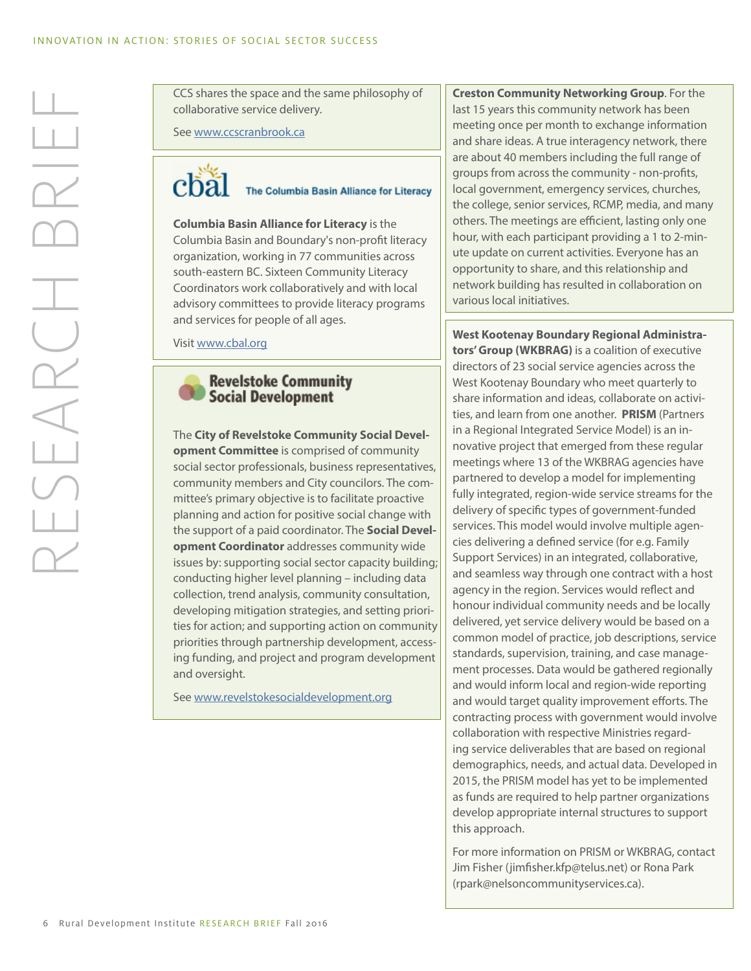CCS shares the space and the same philosophy of collaborative service delivery.

See [www.ccscranbrook.ca](http://www.ccscranbrook.ca/)



The Columbia Basin Alliance for Literacy

**Columbia Basin Alliance for Literacy** is the Columbia Basin and Boundary's non-profit literacy organization, working in 77 communities across south-eastern BC. Sixteen Community Literacy Coordinators work collaboratively and with local advisory committees to provide literacy programs and services for people of all ages.

Visit [www.cbal.org](http://www.cbal.org/)



The **City of Revelstoke Community Social Development Committee** is comprised of community social sector professionals, business representatives, community members and City councilors. The committee's primary objective is to facilitate proactive planning and action for positive social change with the support of a paid coordinator. The **Social Development Coordinator** addresses community wide issues by: supporting social sector capacity building; conducting higher level planning – including data collection, trend analysis, community consultation, developing mitigation strategies, and setting priorities for action; and supporting action on community priorities through partnership development, accessing funding, and project and program development and oversight.

See [www.revelstokesocialdevelopment.org](http://www.revelstokesocialdevelopment.org/)

**Creston Community Networking Group**. For the last 15 years this community network has been meeting once per month to exchange information and share ideas. A true interagency network, there are about 40 members including the full range of groups from across the community - non-profits, local government, emergency services, churches, the college, senior services, RCMP, media, and many others. The meetings are efficient, lasting only one hour, with each participant providing a 1 to 2-minute update on current activities. Everyone has an opportunity to share, and this relationship and network building has resulted in collaboration on various local initiatives.

**West Kootenay Boundary Regional Administrators' Group (WKBRAG)** is a coalition of executive directors of 23 social service agencies across the West Kootenay Boundary who meet quarterly to share information and ideas, collaborate on activities, and learn from one another. **PRISM** (Partners in a Regional Integrated Service Model) is an innovative project that emerged from these regular meetings where 13 of the WKBRAG agencies have partnered to develop a model for implementing fully integrated, region-wide service streams for the delivery of specific types of government-funded services. This model would involve multiple agencies delivering a defined service (for e.g. Family Support Services) in an integrated, collaborative, and seamless way through one contract with a host agency in the region. Services would reflect and honour individual community needs and be locally delivered, yet service delivery would be based on a common model of practice, job descriptions, service standards, supervision, training, and case management processes. Data would be gathered regionally and would inform local and region-wide reporting and would target quality improvement efforts. The contracting process with government would involve collaboration with respective Ministries regarding service deliverables that are based on regional demographics, needs, and actual data. Developed in 2015, the PRISM model has yet to be implemented as funds are required to help partner organizations develop appropriate internal structures to support this approach.

For more information on PRISM or WKBRAG, contact Jim Fisher (jimfisher.kfp@telus.net) or Rona Park (rpark@nelsoncommunityservices.ca).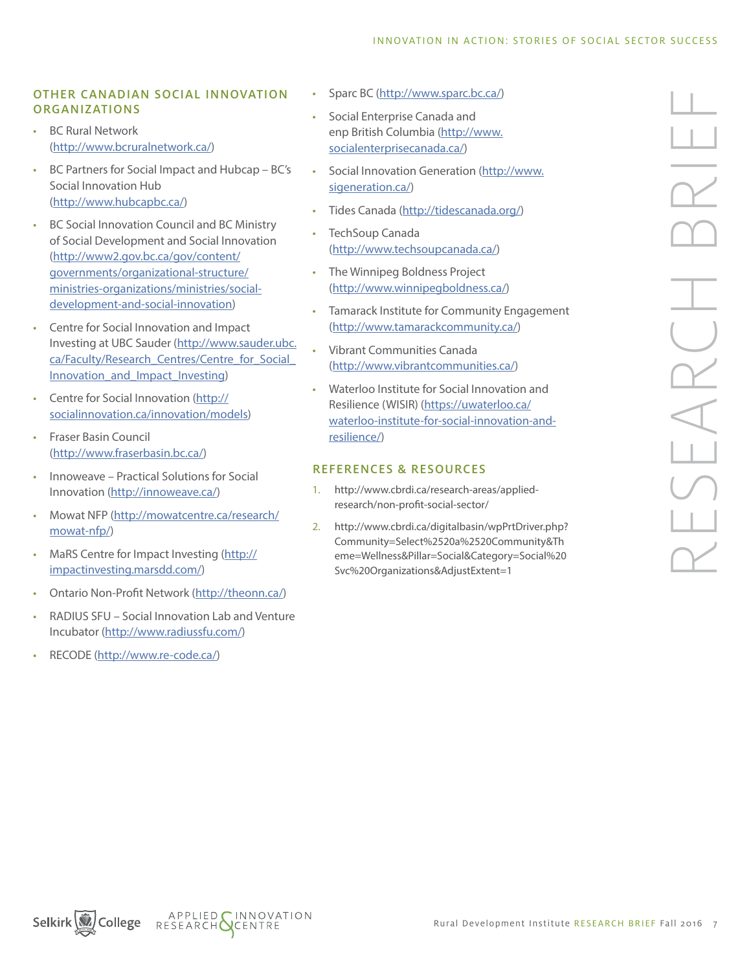#### INNOVATION IN ACTION: STORIES OF SOCIAL SECTOR SUCCESS

## OTHER CANADIAN SOCIAL INNOVATION ORGANIZATIONS

- BC Rural Network [\(http://www.bcruralnetwork.ca/](http://www.bcruralnetwork.ca/))
- BC Partners for Social Impact and Hubcap BC's Social Innovation Hub [\(http://www.hubcapbc.ca/\)](http://www.hubcapbc.ca/)
- BC Social Innovation Council and BC Ministry of Social Development and Social Innovation [\(http://www2.gov.bc.ca/gov/content/](http://www2.gov.bc.ca/gov/content/governments/organizational-structure/ministries-organizations/ministries/social-development-and-social-innovation) [governments/organizational-structure/](http://www2.gov.bc.ca/gov/content/governments/organizational-structure/ministries-organizations/ministries/social-development-and-social-innovation) [ministries-organizations/ministries/social](http://www2.gov.bc.ca/gov/content/governments/organizational-structure/ministries-organizations/ministries/social-development-and-social-innovation)[development-and-social-innovation](http://www2.gov.bc.ca/gov/content/governments/organizational-structure/ministries-organizations/ministries/social-development-and-social-innovation))
- Centre for Social Innovation and Impact Investing at UBC Sauder [\(http://www.sauder.ubc.](http://www.sauder.ubc.ca/Faculty/Research_Centres/Centre_for_Social_Innovation_and_Impact_Investing) ca/Faculty/Research\_Centres/Centre\_for\_Social Innovation and Impact Investing)
- Centre for Social Innovation ([http://](http://socialinnovation.ca/innovation/models) [socialinnovation.ca/innovation/models](http://socialinnovation.ca/innovation/models))
- Fraser Basin Council [\(http://www.fraserbasin.bc.ca/\)](http://www.fraserbasin.bc.ca/)
- Innoweave Practical Solutions for Social Innovation [\(http://innoweave.ca/\)](http://innoweave.ca/)
- Mowat NFP ([http://mowatcentre.ca/research/](http://mowatcentre.ca/research/mowat-nfp/) [mowat-nfp/\)](http://mowatcentre.ca/research/mowat-nfp/)
- MaRS Centre for Impact Investing [\(http://](http://impactinvesting.marsdd.com/) [impactinvesting.marsdd.com/](http://impactinvesting.marsdd.com/))
- Ontario Non-Profit Network [\(http://theonn.ca/\)](http://theonn.ca/)
- RADIUS SFU Social Innovation Lab and Venture Incubator (<http://www.radiussfu.com/>)
- RECODE ([http://www.re-code.ca/\)](http://www.re-code.ca/)
- Sparc BC [\(http://www.sparc.bc.ca/](http://www.sparc.bc.ca/))
- Social Enterprise Canada and enp British Columbia ([http://www.](http://www.socialenterprisecanada.ca/) [socialenterprisecanada.ca/](http://www.socialenterprisecanada.ca/))
- Social Innovation Generation [\(http://www.](http://www.sigeneration.ca/) [sigeneration.ca/\)](http://www.sigeneration.ca/)
- Tides Canada [\(http://tidescanada.org/](http://tidescanada.org/))
- TechSoup Canada [\(http://www.techsoupcanada.ca/\)](http://www.techsoupcanada.ca/)
- The Winnipeg Boldness Project [\(http://www.winnipegboldness.ca/\)](http://www.winnipegboldness.ca/)
- Tamarack Institute for Community Engagement [\(http://www.tamarackcommunity.ca/\)](http://www.tamarackcommunity.ca/)
- Vibrant Communities Canada [\(http://www.vibrantcommunities.ca/\)](http://www.vibrantcommunities.ca/)
- Waterloo Institute for Social Innovation and Resilience (WISIR) [\(https://uwaterloo.ca/](https://uwaterloo.ca/waterloo-institute-for-social-innovation-and-resilience/) [waterloo-institute-for-social-innovation-and](https://uwaterloo.ca/waterloo-institute-for-social-innovation-and-resilience/)[resilience/\)](https://uwaterloo.ca/waterloo-institute-for-social-innovation-and-resilience/)

# REFERENCES & RESOURCES

- 1. http://www.cbrdi.ca/research-areas/appliedresearch/non-profit-social-sector/
- 2. http://www.cbrdi.ca/digitalbasin/wpPrtDriver.php? Community=Select%2520a%2520Community&Th eme=Wellness&Pillar=Social&Category=Social%20 Svc%20Organizations&AdjustExtent=1